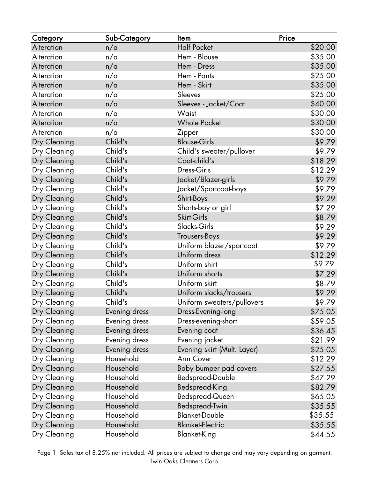| <u>Category</u>   | Sub-Category  | <u>Item</u>                 | Price   |
|-------------------|---------------|-----------------------------|---------|
| Alteration        | n/a           | <b>Half Pocket</b>          | \$20.00 |
| Alteration        | n/a           | Hem - Blouse                | \$35.00 |
| Alteration        | n/a           | Hem - Dress                 | \$35.00 |
| Alteration        | n/a           | Hem - Pants                 | \$25.00 |
| Alteration        | n/a           | Hem - Skirt                 | \$35.00 |
| Alteration        | n/a           | Sleeves                     | \$25.00 |
| Alteration        | n/a           | Sleeves - Jacket/Coat       | \$40.00 |
| <b>Alteration</b> | n/a           | Waist                       | \$30.00 |
| Alteration        | n/a           | <b>Whole Pocket</b>         | \$30.00 |
| Alteration        | n/a           | Zipper                      | \$30.00 |
| Dry Cleaning      | Child's       | <b>Blouse-Girls</b>         | \$9.79  |
| Dry Cleaning      | Child's       | Child's sweater/pullover    | \$9.79  |
| Dry Cleaning      | Child's       | Coat-child's                | \$18.29 |
| Dry Cleaning      | Child's       | Dress-Girls                 | \$12.29 |
| Dry Cleaning      | Child's       | Jacket/Blazer-girls         | \$9.79  |
| Dry Cleaning      | Child's       | Jacket/Sportcoat-boys       | \$9.79  |
| Dry Cleaning      | Child's       | Shirt-Boys                  | \$9.29  |
| Dry Cleaning      | Child's       | Shorts-boy or girl          | \$7.29  |
| Dry Cleaning      | Child's       | Skirt-Girls                 | \$8.79  |
| Dry Cleaning      | Child's       | Slacks-Girls                | \$9.29  |
| Dry Cleaning      | Child's       | Trousers-Boys               | \$9.29  |
| Dry Cleaning      | Child's       | Uniform blazer/sportcoat    | \$9.79  |
| Dry Cleaning      | Child's       | Uniform dress               | \$12.29 |
| Dry Cleaning      | Child's       | Uniform shirt               | \$9.79  |
| Dry Cleaning      | Child's       | Uniform shorts              | \$7.29  |
| Dry Cleaning      | Child's       | Uniform skirt               | \$8.79  |
| Dry Cleaning      | Child's       | Uniform slacks/trousers     | \$9.29  |
| Dry Cleaning      | Child's       | Uniform sweaters/pullovers  | \$9.79  |
| Dry Cleaning      | Evening dress | Dress-Evening-long          | \$75.05 |
| Dry Cleaning      | Evening dress | Dress-evening-short         | \$59.05 |
| Dry Cleaning      | Evening dress | Evening coat                | \$36.45 |
| Dry Cleaning      | Evening dress | Evening jacket              | \$21.99 |
| Dry Cleaning      | Evening dress | Evening skirt (Mult. Layer) | \$25.05 |
| Dry Cleaning      | Household     | Arm Cover                   | \$12.29 |
| Dry Cleaning      | Household     | Baby bumper pad covers      | \$27.55 |
| Dry Cleaning      | Household     | Bedspread-Double            | \$47.29 |
| Dry Cleaning      | Household     | Bedspread-King              | \$82.79 |
| Dry Cleaning      | Household     | Bedspread-Queen             | \$65.05 |
| Dry Cleaning      | Household     | Bedspread-Twin              | \$35.55 |
| Dry Cleaning      | Household     | <b>Blanket-Double</b>       | \$35.55 |
| Dry Cleaning      | Household     | <b>Blanket-Electric</b>     | \$35.55 |
| Dry Cleaning      | Household     | <b>Blanket-King</b>         | \$44.55 |

Page 1 Sales tax of 8.25% not included. All prices are subject to change and may vary depending on garment. Twin Oaks Cleaners Corp.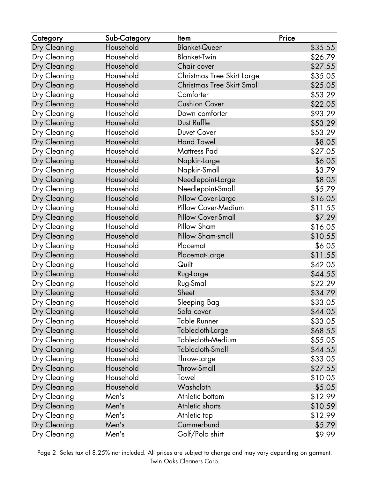| <u>Category</u> | Sub-Category | <b>Item</b>                | Price   |
|-----------------|--------------|----------------------------|---------|
| Dry Cleaning    | Household    | <b>Blanket-Queen</b>       | \$35.55 |
| Dry Cleaning    | Household    | <b>Blanket-Twin</b>        | \$26.79 |
| Dry Cleaning    | Household    | Chair cover                | \$27.55 |
| Dry Cleaning    | Household    | Christmas Tree Skirt Large | \$35.05 |
| Dry Cleaning    | Household    | Christmas Tree Skirt Small | \$25.05 |
| Dry Cleaning    | Household    | Comforter                  | \$53.29 |
| Dry Cleaning    | Household    | <b>Cushion Cover</b>       | \$22.05 |
| Dry Cleaning    | Household    | Down comforter             | \$93.29 |
| Dry Cleaning    | Household    | Dust Ruffle                | \$53.29 |
| Dry Cleaning    | Household    | Duvet Cover                | \$53.29 |
| Dry Cleaning    | Household    | <b>Hand Towel</b>          | \$8.05  |
| Dry Cleaning    | Household    | <b>Mattress Pad</b>        | \$27.05 |
| Dry Cleaning    | Household    | Napkin-Large               | \$6.05  |
| Dry Cleaning    | Household    | Napkin-Small               | \$3.79  |
| Dry Cleaning    | Household    | Needlepoint-Large          | \$8.05  |
| Dry Cleaning    | Household    | Needlepoint-Small          | \$5.79  |
| Dry Cleaning    | Household    | Pillow Cover-Large         | \$16.05 |
| Dry Cleaning    | Household    | Pillow Cover-Medium        | \$11.55 |
| Dry Cleaning    | Household    | Pillow Cover-Small         | \$7.29  |
| Dry Cleaning    | Household    | Pillow Sham                | \$16.05 |
| Dry Cleaning    | Household    | Pillow Sham-small          | \$10.55 |
| Dry Cleaning    | Household    | Placemat                   | \$6.05  |
| Dry Cleaning    | Household    | Placemat-Large             | \$11.55 |
| Dry Cleaning    | Household    | Quilt                      | \$42.05 |
| Dry Cleaning    | Household    | Rug-Large                  | \$44.55 |
| Dry Cleaning    | Household    | Rug-Small                  | \$22.29 |
| Dry Cleaning    | Household    | Sheet                      | \$34.79 |
| Dry Cleaning    | Household    | Sleeping Bag               | \$33.05 |
| Dry Cleaning    | Household    | Sofa cover                 | \$44.05 |
| Dry Cleaning    | Household    | <b>Table Runner</b>        | \$33.05 |
| Dry Cleaning    | Household    | Tablecloth-Large           | \$68.55 |
| Dry Cleaning    | Household    | Tablecloth-Medium          | \$55.05 |
| Dry Cleaning    | Household    | Tablecloth-Small           | \$44.55 |
| Dry Cleaning    | Household    | Throw-Large                | \$33.05 |
| Dry Cleaning    | Household    | <b>Throw-Small</b>         | \$27.55 |
| Dry Cleaning    | Household    | Towel                      | \$10.05 |
| Dry Cleaning    | Household    | Washcloth                  | \$5.05  |
| Dry Cleaning    | Men's        | Athletic bottom            | \$12.99 |
| Dry Cleaning    | Men's        | Athletic shorts            | \$10.59 |
| Dry Cleaning    | Men's        | Athletic top               | \$12.99 |
| Dry Cleaning    | Men's        | Cummerbund                 | \$5.79  |
| Dry Cleaning    | Men's        | Golf/Polo shirt            | \$9.99  |

Page 2 Sales tax of 8.25% not included. All prices are subject to change and may vary depending on garment. Twin Oaks Cleaners Corp.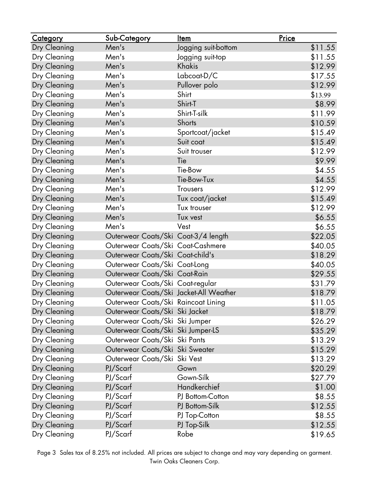| <b>Category</b> | Sub-Category                           | <u>Item</u>         | Price   |
|-----------------|----------------------------------------|---------------------|---------|
| Dry Cleaning    | Men's                                  | Jogging suit-bottom | \$11.55 |
| Dry Cleaning    | Men's                                  | Jogging suit-top    | \$11.55 |
| Dry Cleaning    | Men's                                  | Khakis              | \$12.99 |
| Dry Cleaning    | Men's                                  | Labcoat-D/C         | \$17.55 |
| Dry Cleaning    | Men's                                  | Pullover polo       | \$12.99 |
| Dry Cleaning    | Men's                                  | Shirt               | \$13.99 |
| Dry Cleaning    | Men's                                  | Shirt-T             | \$8.99  |
| Dry Cleaning    | Men's                                  | Shirt-T-silk        | \$11.99 |
| Dry Cleaning    | Men's                                  | Shorts              | \$10.59 |
| Dry Cleaning    | Men's                                  | Sportcoat/jacket    | \$15.49 |
| Dry Cleaning    | Men's                                  | Suit coat           | \$15.49 |
| Dry Cleaning    | Men's                                  | Suit trouser        | \$12.99 |
| Dry Cleaning    | Men's                                  | Tie                 | \$9.99  |
| Dry Cleaning    | Men's                                  | Tie-Bow             | \$4.55  |
| Dry Cleaning    | Men's                                  | Tie-Bow-Tux         | \$4.55  |
| Dry Cleaning    | Men's                                  | <b>Trousers</b>     | \$12.99 |
| Dry Cleaning    | Men's                                  | Tux coat/jacket     | \$15.49 |
| Dry Cleaning    | Men's                                  | Tux trouser         | \$12.99 |
| Dry Cleaning    | Men's                                  | Tux vest            | \$6.55  |
| Dry Cleaning    | Men's                                  | Vest                | \$6.55  |
| Dry Cleaning    | Outerwear Coats/Ski Coat-3/4 length    |                     | \$22.05 |
| Dry Cleaning    | Outerwear Coats/Ski Coat-Cashmere      |                     | \$40.05 |
| Dry Cleaning    | Outerwear Coats/Ski Coat-child's       |                     | \$18.29 |
| Dry Cleaning    | Outerwear Coats/Ski Coat-Long          |                     | \$40.05 |
| Dry Cleaning    | Outerwear Coats/Ski Coat-Rain          |                     | \$29.55 |
| Dry Cleaning    | Outerwear Coats/Ski Coat-regular       |                     | \$31.79 |
| Dry Cleaning    | Outerwear Coats/Ski Jacket-All Weather |                     | \$18.79 |
| Dry Cleaning    | Outerwear Coats/Ski Raincoat Lining    |                     | \$11.05 |
| Dry Cleaning    | Outerwear Coats/Ski Ski Jacket         |                     | \$18.79 |
| Dry Cleaning    | Outerwear Coats/Ski Ski Jumper         |                     | \$26.29 |
| Dry Cleaning    | Outerwear Coats/Ski Ski Jumper-LS      |                     | \$35.29 |
| Dry Cleaning    | Outerwear Coats/Ski Ski Pants          |                     | \$13.29 |
| Dry Cleaning    | Outerwear Coats/Ski Ski Sweater        |                     | \$15.29 |
| Dry Cleaning    | Outerwear Coats/Ski Ski Vest           |                     | \$13.29 |
| Dry Cleaning    | PJ/Scarf                               | Gown                | \$20.29 |
| Dry Cleaning    | PJ/Scarf                               | Gown-Silk           | \$27.79 |
| Dry Cleaning    | PJ/Scarf                               | Handkerchief        | \$1.00  |
| Dry Cleaning    | PJ/Scarf                               | PJ Bottom-Cotton    | \$8.55  |
| Dry Cleaning    | PJ/Scarf                               | PJ Bottom-Silk      | \$12.55 |
| Dry Cleaning    | PJ/Scarf                               | PJ Top-Cotton       | \$8.55  |
| Dry Cleaning    | PJ/Scarf                               | PJ Top-Silk         | \$12.55 |
| Dry Cleaning    | PJ/Scarf                               | Robe                | \$19.65 |

Page 3 Sales tax of 8.25% not included. All prices are subject to change and may vary depending on garment. Twin Oaks Cleaners Corp.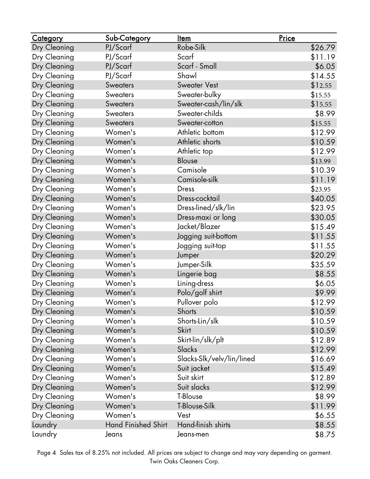| <u>Category</u> | Sub-Category               | <u>Item</u>               | Price   |
|-----------------|----------------------------|---------------------------|---------|
| Dry Cleaning    | PJ/Scarf                   | Robe-Silk                 | \$26.79 |
| Dry Cleaning    | PJ/Scarf                   | Scarf                     | \$11.19 |
| Dry Cleaning    | PJ/Scarf                   | Scarf - Small             | \$6.05  |
| Dry Cleaning    | PJ/Scarf                   | Shawl                     | \$14.55 |
| Dry Cleaning    | <b>Sweaters</b>            | <b>Sweater Vest</b>       | \$12.55 |
| Dry Cleaning    | <b>Sweaters</b>            | Sweater-bulky             | \$15.55 |
| Dry Cleaning    | <b>Sweaters</b>            | Sweater-cash/lin/slk      | \$15.55 |
| Dry Cleaning    | <b>Sweaters</b>            | Sweater-childs            | \$8.99  |
| Dry Cleaning    | <b>Sweaters</b>            | Sweater-cotton            | \$15.55 |
| Dry Cleaning    | Women's                    | Athletic bottom           | \$12.99 |
| Dry Cleaning    | Women's                    | Athletic shorts           | \$10.59 |
| Dry Cleaning    | Women's                    | Athletic top              | \$12.99 |
| Dry Cleaning    | Women's                    | <b>Blouse</b>             | \$13.99 |
| Dry Cleaning    | Women's                    | Camisole                  | \$10.39 |
| Dry Cleaning    | Women's                    | Camisole-silk             | \$11.19 |
| Dry Cleaning    | Women's                    | <b>Dress</b>              | \$23.95 |
| Dry Cleaning    | Women's                    | Dress-cocktail            | \$40.05 |
| Dry Cleaning    | Women's                    | Dress-lined/slk/lin       | \$23.95 |
| Dry Cleaning    | Women's                    | Dress-maxi or long        | \$30.05 |
| Dry Cleaning    | Women's                    | Jacket/Blazer             | \$15.49 |
| Dry Cleaning    | Women's                    | Jogging suit-bottom       | \$11.55 |
| Dry Cleaning    | Women's                    | Jogging suit-top          | \$11.55 |
| Dry Cleaning    | Women's                    | Jumper                    | \$20.29 |
| Dry Cleaning    | Women's                    | Jumper-Silk               | \$35.59 |
| Dry Cleaning    | Women's                    | Lingerie bag              | \$8.55  |
| Dry Cleaning    | Women's                    | Lining-dress              | \$6.05  |
| Dry Cleaning    | Women's                    | Polo/golf shirt           | \$9.99  |
| Dry Cleaning    | Women's                    | Pullover polo             | \$12.99 |
| Dry Cleaning    | Women's                    | Shorts                    | \$10.59 |
| Dry Cleaning    | Women's                    | Shorts-Lin/slk            | \$10.59 |
| Dry Cleaning    | Women's                    | Skirt                     | \$10.59 |
| Dry Cleaning    | Women's                    | Skirt-lin/slk/plt         | \$12.89 |
| Dry Cleaning    | Women's                    | Slacks                    | \$12.99 |
| Dry Cleaning    | Women's                    | Slacks-Slk/velv/lin/lined | \$16.69 |
| Dry Cleaning    | Women's                    | Suit jacket               | \$15.49 |
| Dry Cleaning    | Women's                    | Suit skirt                | \$12.89 |
| Dry Cleaning    | Women's                    | Suit slacks               | \$12.99 |
| Dry Cleaning    | Women's                    | T-Blouse                  | \$8.99  |
| Dry Cleaning    | Women's                    | T-Blouse-Silk             | \$11.99 |
| Dry Cleaning    | Women's                    | Vest                      | \$6.55  |
| Laundry         | <b>Hand Finished Shirt</b> | Hand-finish shirts        | \$8.55  |
| Laundry         | Jeans                      | Jeans-men                 | \$8.75  |

Page 4 Sales tax of 8.25% not included. All prices are subject to change and may vary depending on garment. Twin Oaks Cleaners Corp.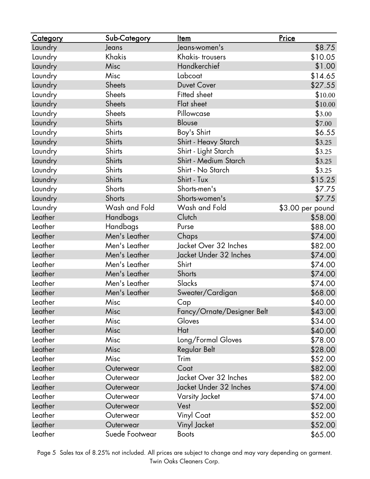| <u>Category</u> | Sub-Category   | <u>Item</u>                | Price            |
|-----------------|----------------|----------------------------|------------------|
| Laundry         | Jeans          | Jeans-women's              | \$8.75           |
| Laundry         | Khakis         | Khakis-trousers            | \$10.05          |
| Laundry         | Misc           | Handkerchief               | \$1.00           |
| Laundry         | Misc           | Labcoat                    | \$14.65          |
| Laundry         | <b>Sheets</b>  | <b>Duvet Cover</b>         | \$27.55          |
| Laundry         | <b>Sheets</b>  | Fitted sheet               | \$10.00          |
| Laundry         | Sheets         | Flat sheet                 | \$10.00          |
| Laundry         | <b>Sheets</b>  | Pillowcase                 | \$3.00           |
| Laundry         | <b>Shirts</b>  | Blouse                     | \$7.00           |
| Laundry         | <b>Shirts</b>  | Boy's Shirt                | \$6.55           |
| Laundry         | <b>Shirts</b>  | Shirt - Heavy Starch       | \$3.25           |
| Laundry         | <b>Shirts</b>  | Shirt - Light Starch       | \$3.25           |
| Laundry         | <b>Shirts</b>  | Shirt - Medium Starch      | \$3.25           |
| Laundry         | <b>Shirts</b>  | Shirt - No Starch          | \$3.25           |
| Laundry         | <b>Shirts</b>  | Shirt - Tux                | \$15.25          |
| Laundry         | Shorts         | Shorts-men's               | \$7.75           |
| Laundry         | Shorts         | Shorts-women's             | \$7.75           |
| Laundry         | Wash and Fold  | Wash and Fold              | \$3.00 per pound |
| Leather         | Handbags       | Clutch                     | \$58.00          |
| Leather         | Handbags       | Purse                      | \$88.00          |
| Leather         | Men's Leather  | Chaps                      | \$74.00          |
| Leather         | Men's Leather  | Jacket Over 32 Inches      | \$82.00          |
| Leather         | Men's Leather  | Jacket Under 32 Inches     | \$74.00          |
| Leather         | Men's Leather  | Shirt                      | \$74.00          |
| Leather         | Men's Leather  | <b>Shorts</b>              | \$74.00          |
| Leather         | Men's Leather  | Slacks                     | \$74.00          |
| Leather         | Men's Leather  | Sweater/Cardigan           | \$68.00          |
| Leather         | Misc           | Cap                        | \$40.00          |
| Leather         | Misc           | Fancy/Ornate/Designer Belt | \$43.00          |
| Leather         | Misc           | Gloves                     | \$34.00          |
| Leather         | Misc           | Hat                        | \$40.00          |
| Leather         | Misc           | Long/Formal Gloves         | \$78.00          |
| Leather         | Misc           | Regular Belt               | \$28.00          |
| Leather         | Misc           | Trim                       | \$52.00          |
| Leather         | Outerwear      | Coat                       | \$82.00          |
| Leather         | Outerwear      | Jacket Over 32 Inches      | \$82.00          |
| Leather         | Outerwear      | Jacket Under 32 Inches     | \$74.00          |
| Leather         | Outerwear      | Varsity Jacket             | \$74.00          |
| Leather         | Outerwear      | Vest                       | \$52.00          |
| Leather         | Outerwear      | Vinyl Coat                 | \$52.00          |
| Leather         | Outerwear      | Vinyl Jacket               | \$52.00          |
| Leather         | Suede Footwear | <b>Boots</b>               | \$65.00          |

Page 5 Sales tax of 8.25% not included. All prices are subject to change and may vary depending on garment. Twin Oaks Cleaners Corp.